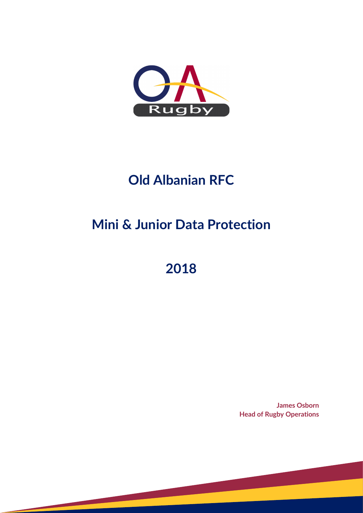

### **Old Albanian RFC**

# **Mini & Junior Data Protection**

## **2018**

**James Osborn Head of Rugby Operations**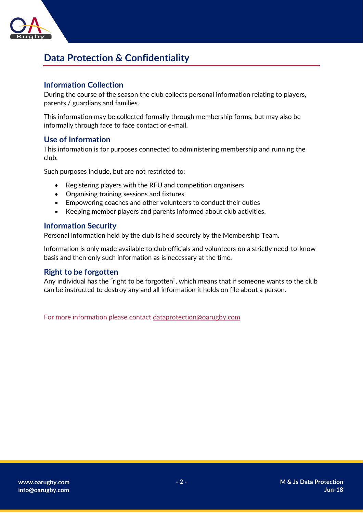

### **Data Protection & Confidentiality**

#### **Information Collection**

During the course of the season the club collects personal information relating to players, parents / guardians and families.

This information may be collected formally through membership forms, but may also be informally through face to face contact or e-mail.

#### **Use of Information**

This information is for purposes connected to administering membership and running the club.

Such purposes include, but are not restricted to:

- Registering players with the RFU and competition organisers
- Organising training sessions and fixtures
- Empowering coaches and other volunteers to conduct their duties
- Keeping member players and parents informed about club activities.

#### **Information Security**

Personal information held by the club is held securely by the Membership Team.

Information is only made available to club officials and volunteers on a strictly need-to-know basis and then only such information as is necessary at the time.

#### **Right to be forgotten**

Any individual has the "right to be forgotten", which means that if someone wants to the club can be instructed to destroy any and all information it holds on file about a person.

For more information please contact [dataprotection@oarugby.com](mailto:dataprotection@oarugby.com)